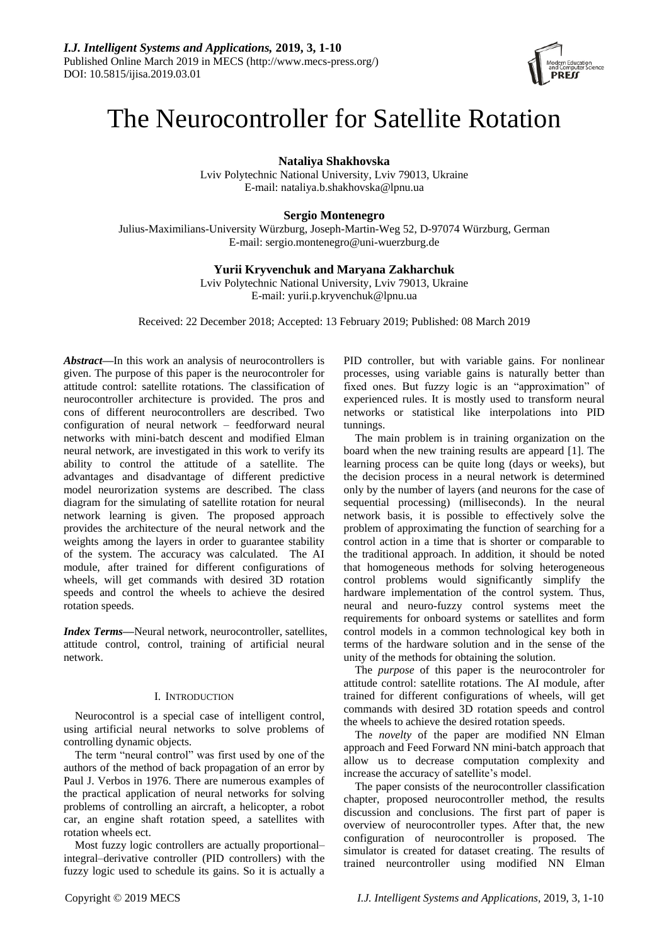

# The Neurocontroller for Satellite Rotation

**Nataliya Shakhovska**

Lviv Polytechnic National University, Lviv 79013, Ukraine E-mail: nataliya.b.shakhovska@lpnu.ua

## **Sergio Montenegro**

Julius-Maximilians-University Würzburg, Joseph-Martin-Weg 52, D-97074 Würzburg, German E-mail: sergio.montenegro@uni-wuerzburg.de

## **Yurii Kryvenchuk and Maryana Zakharchuk**

Lviv Polytechnic National University, Lviv 79013, Ukraine E-mail: yurii.p.kryvenchuk@lpnu.ua

Received: 22 December 2018; Accepted: 13 February 2019; Published: 08 March 2019

*Abstract***—**In this work an analysis of neurocontrollers is given. The purpose of this paper is the neurocontroler for attitude control: satellite rotations. The classification of neurocontroller architecture is provided. The pros and cons of different neurocontrollers are described. Two configuration of neural network – feedforward neural networks with mini-batch descent and modified Elman neural network, are investigated in this work to verify its ability to control the attitude of a satellite. The advantages and disadvantage of different predictive model neurorization systems are described. The class diagram for the simulating of satellite rotation for neural network learning is given. The proposed approach provides the architecture of the neural network and the weights among the layers in order to guarantee stability of the system. The accuracy was calculated. The AI module, after trained for different configurations of wheels, will get commands with desired 3D rotation speeds and control the wheels to achieve the desired rotation speeds.

*Index Terms***—**Neural network, neurocontroller, satellites, attitude control, control, training of artificial neural network.

## I. INTRODUCTION

Neurocontrol is a special case of intelligent control, using artificial neural networks to solve problems of controlling dynamic objects.

The term "neural control" was first used by one of the authors of the method of back propagation of an error by Paul J. Verbos in 1976. There are numerous examples of the practical application of neural networks for solving problems of controlling an aircraft, a helicopter, a robot car, an engine shaft rotation speed, a satellites with rotation wheels ect.

Most fuzzy logic controllers are actually proportional– integral–derivative controller (PID controllers) with the fuzzy logic used to schedule its gains. So it is actually a PID controller, but with variable gains. For nonlinear processes, using variable gains is naturally better than fixed ones. But fuzzy logic is an "approximation" of experienced rules. It is mostly used to transform neural networks or statistical like interpolations into PID tunnings.

The main problem is in training organization on the board when the new training results are appeard [1]. The learning process can be quite long (days or weeks), but the decision process in a neural network is determined only by the number of layers (and neurons for the case of sequential processing) (milliseconds). In the neural network basis, it is possible to effectively solve the problem of approximating the function of searching for a control action in a time that is shorter or comparable to the traditional approach. In addition, it should be noted that homogeneous methods for solving heterogeneous control problems would significantly simplify the hardware implementation of the control system. Thus, neural and neuro-fuzzy control systems meet the requirements for onboard systems or satellites and form control models in a common technological key both in terms of the hardware solution and in the sense of the unity of the methods for obtaining the solution.

The *purpose* of this paper is the neurocontroler for attitude control: satellite rotations. The AI module, after trained for different configurations of wheels, will get commands with desired 3D rotation speeds and control the wheels to achieve the desired rotation speeds.

The *novelty* of the paper are modified NN Elman approach and Feed Forward NN mini-batch approach that allow us to decrease computation complexity and increase the accuracy of satellite's model.

The paper consists of the neurocontroller classification chapter, proposed neurocontroller method, the results discussion and conclusions. The first part of paper is overview of neurocontroller types. After that, the new configuration of neurocontroller is proposed. The simulator is created for dataset creating. The results of trained neurcontroller using modified NN Elman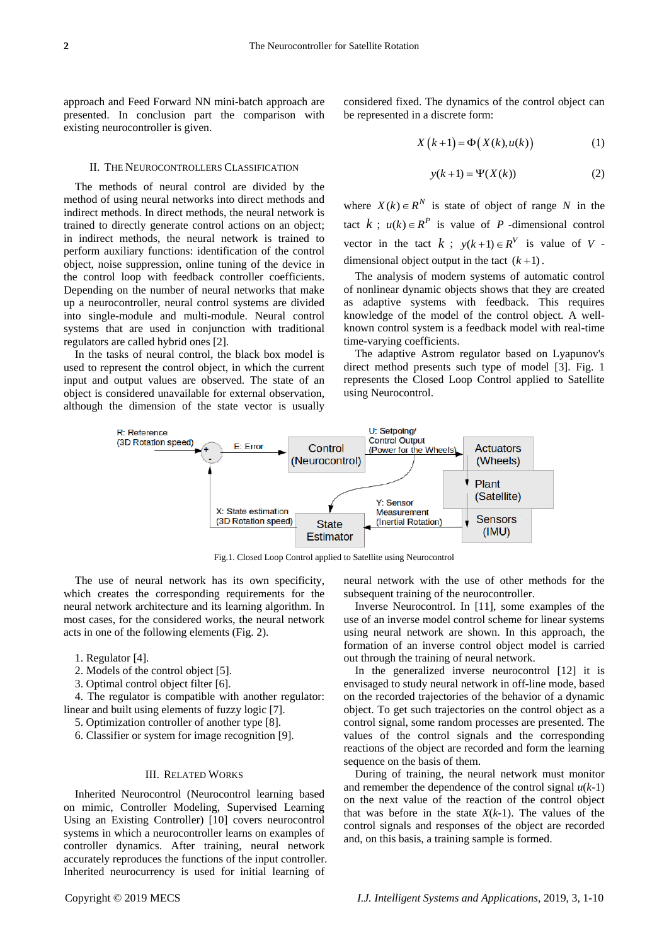approach and Feed Forward NN mini-batch approach are presented. In conclusion part the comparison with existing neurocontroller is given.

#### ІІ. THE NEUROCONTROLLERS CLASSIFICATION

The methods of neural control are divided by the method of using neural networks into direct methods and indirect methods. In direct methods, the neural network is trained to directly generate control actions on an object; in indirect methods, the neural network is trained to perform auxiliary functions: identification of the control object, noise suppression, online tuning of the device in the control loop with feedback controller coefficients. Depending on the number of neural networks that make up a neurocontroller, neural control systems are divided into single-module and multi-module. Neural control systems that are used in conjunction with traditional regulators are called hybrid ones [2].

In the tasks of neural control, the black box model is used to represent the control object, in which the current input and output values are observed. The state of an object is considered unavailable for external observation, although the dimension of the state vector is usually

considered fixed. The dynamics of the control object can be represented in a discrete form:

$$
X(k+1) = \Phi(X(k), u(k))
$$
 (1)

$$
y(k+1) = \Psi(X(k))
$$
 (2)

where  $X(k) \in \mathbb{R}^N$  is state of object of range N in the tact  $k$ ;  $u(k) \in R^P$  is value of P-dimensional control vector in the tact  $k$ ;  $y(k+1) \in R^V$  is value of V dimensional object output in the tact  $(k+1)$ .

The analysis of modern systems of automatic control of nonlinear dynamic objects shows that they are created as adaptive systems with feedback. This requires knowledge of the model of the control object. A wellknown control system is a feedback model with real-time time-varying coefficients.

The adaptive Astrom regulator based on Lyapunov's direct method presents such type of model [3]. Fig. 1 represents the Closed Loop Control applied to Satellite using Neurocontrol.



Fig.1. Closed Loop Control applied to Satellite using Neurocontrol

The use of neural network has its own specificity, which creates the corresponding requirements for the neural network architecture and its learning algorithm. In most cases, for the considered works, the neural network acts in one of the following elements (Fig. 2).

1. Regulator [4].

- 2. Models of the control object [5].
- 3. Optimal control object filter [6].

4. The regulator is compatible with another regulator: linear and built using elements of fuzzy logic [7].

5. Optimization controller of another type [8].

6. Classifier or system for image recognition [9].

#### III. RELATED WORKS

Inherited Neurocontrol (Neurocontrol learning based on mimic, Controller Modeling, Supervised Learning Using an Existing Controller) [10] covers neurocontrol systems in which a neurocontroller learns on examples of controller dynamics. After training, neural network accurately reproduces the functions of the input controller. Inherited neurocurrency is used for initial learning of neural network with the use of other methods for the subsequent training of the neurocontroller.

Inverse Neurocontrol. In [11], some examples of the use of an inverse model control scheme for linear systems using neural network are shown. In this approach, the formation of an inverse control object model is carried out through the training of neural network.

In the generalized inverse neurocontrol [12] it is envisaged to study neural network in off-line mode, based on the recorded trajectories of the behavior of a dynamic object. To get such trajectories on the control object as a control signal, some random processes are presented. The values of the control signals and the corresponding reactions of the object are recorded and form the learning sequence on the basis of them.

During of training, the neural network must monitor and remember the dependence of the control signal  $u(k-1)$ on the next value of the reaction of the control object that was before in the state  $X(k-1)$ . The values of the control signals and responses of the object are recorded and, on this basis, a training sample is formed.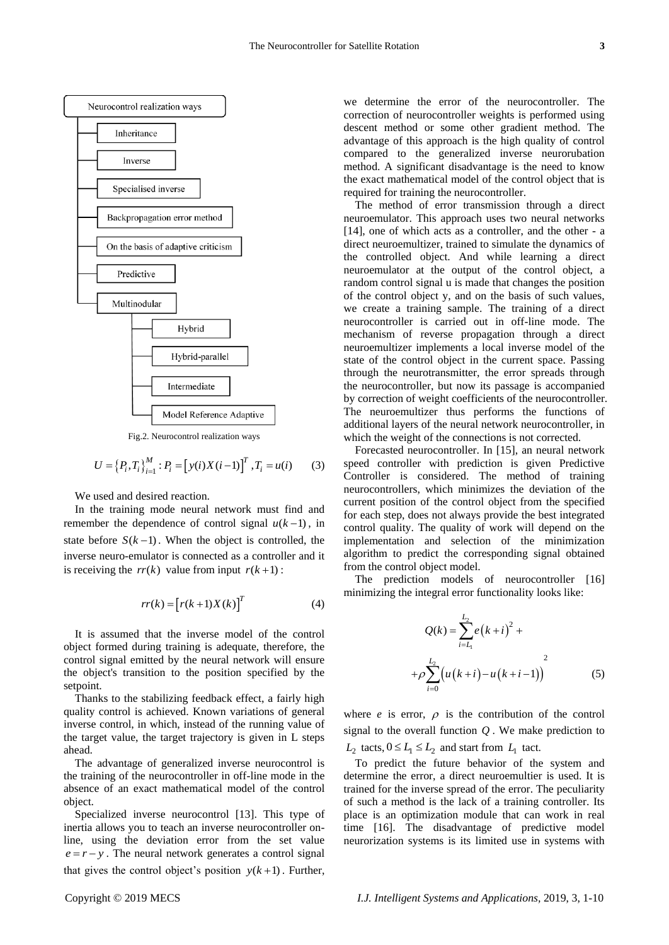

Fig.2. Neurocontrol realization ways

$$
U = \{P_i, T_i\}_{i=1}^{M} : P_i = [y(i)X(i-1)]^T, T_i = u(i) \tag{3}
$$

We used and desired reaction.

In the training mode neural network must find and remember the dependence of control signal  $u(k-1)$ , in state before  $S(k-1)$ . When the object is controlled, the inverse neuro-emulator is connected as a controller and it is receiving the  $rr(k)$  value from input  $r(k+1)$ :

$$
rr(k) = [r(k+1)X(k)]^T
$$
 (4)

It is assumed that the inverse model of the control object formed during training is adequate, therefore, the control signal emitted by the neural network will ensure the object's transition to the position specified by the setpoint.

Thanks to the stabilizing feedback effect, a fairly high quality control is achieved. Known variations of general inverse control, in which, instead of the running value of the target value, the target trajectory is given in L steps ahead.

The advantage of generalized inverse neurocontrol is the training of the neurocontroller in off-line mode in the absence of an exact mathematical model of the control object.

Specialized inverse neurocontrol [13]. This type of inertia allows you to teach an inverse neurocontroller online, using the deviation error from the set value  $e = r - y$ . The neural network generates a control signal that gives the control object's position  $y(k+1)$ . Further,

we determine the error of the neurocontroller. The correction of neurocontroller weights is performed using descent method or some other gradient method. The advantage of this approach is the high quality of control compared to the generalized inverse neurorubation method. A significant disadvantage is the need to know the exact mathematical model of the control object that is required for training the neurocontroller.

The method of error transmission through a direct neuroemulator. This approach uses two neural networks [14], one of which acts as a controller, and the other - a direct neuroemultizer, trained to simulate the dynamics of the controlled object. And while learning a direct neuroemulator at the output of the control object, a random control signal u is made that changes the position of the control object y, and on the basis of such values, we create a training sample. The training of a direct neurocontroller is carried out in off-line mode. The mechanism of reverse propagation through a direct neuroemultizer implements a local inverse model of the state of the control object in the current space. Passing through the neurotransmitter, the error spreads through the neurocontroller, but now its passage is accompanied by correction of weight coefficients of the neurocontroller. The neuroemultizer thus performs the functions of additional layers of the neural network neurocontroller, in which the weight of the connections is not corrected.

Forecasted neurocontroller. In [15], an neural network speed controller with prediction is given Predictive Controller is considered. The method of training neurocontrollers, which minimizes the deviation of the current position of the control object from the specified for each step, does not always provide the best integrated control quality. The quality of work will depend on the implementation and selection of the minimization algorithm to predict the corresponding signal obtained from the control object model.

The prediction models of neurocontroller [16] minimizing the integral error functionality looks like:

$$
Q(k) = \sum_{i=L_1}^{L_2} e(k+i)^2 +
$$
  
+ $\rho \sum_{i=0}^{L_2} (u(k+i)-u(k+i-1))^{2}$  (5)

where  $e$  is error,  $\rho$  is the contribution of the control signal to the overall function *Q* . We make prediction to  $L_2$  tacts,  $0 \le L_1 \le L_2$  and start from  $L_1$  tact.

To predict the future behavior of the system and determine the error, a direct neuroemultier is used. It is trained for the inverse spread of the error. The peculiarity of such a method is the lack of a training controller. Its place is an optimization module that can work in real time [16]. The disadvantage of predictive model neurorization systems is its limited use in systems with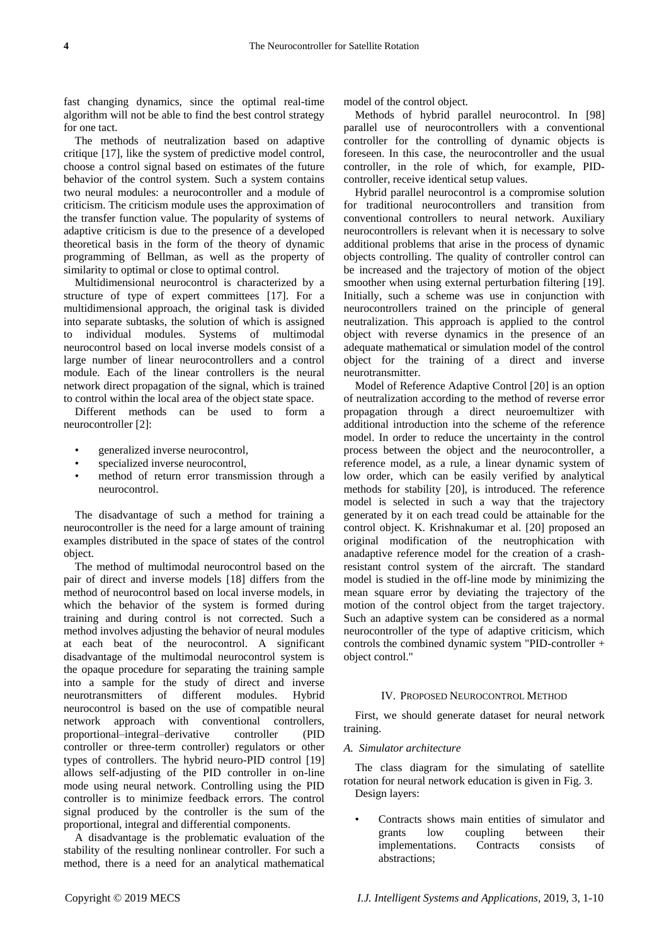fast changing dynamics, since the optimal real-time algorithm will not be able to find the best control strategy for one tact.

The methods of neutralization based on adaptive critique [17], like the system of predictive model control, choose a control signal based on estimates of the future behavior of the control system. Such a system contains two neural modules: a neurocontroller and a module of criticism. The criticism module uses the approximation of the transfer function value. The popularity of systems of adaptive criticism is due to the presence of a developed theoretical basis in the form of the theory of dynamic programming of Bellman, as well as the property of similarity to optimal or close to optimal control.

Multidimensional neurocontrol is characterized by a structure of type of expert committees [17]. For a multidimensional approach, the original task is divided into separate subtasks, the solution of which is assigned to individual modules. Systems of multimodal neurocontrol based on local inverse models consist of a large number of linear neurocontrollers and a control module. Each of the linear controllers is the neural network direct propagation of the signal, which is trained to control within the local area of the object state space.

Different methods can be used to form a neurocontroller [2]:

- generalized inverse neurocontrol,
- specialized inverse neurocontrol,
- method of return error transmission through a neurocontrol.

The disadvantage of such a method for training a neurocontroller is the need for a large amount of training examples distributed in the space of states of the control object.

The method of multimodal neurocontrol based on the pair of direct and inverse models [18] differs from the method of neurocontrol based on local inverse models, in which the behavior of the system is formed during training and during control is not corrected. Such a method involves adjusting the behavior of neural modules at each beat of the neurocontrol. A significant disadvantage of the multimodal neurocontrol system is the opaque procedure for separating the training sample into a sample for the study of direct and inverse neurotransmitters of different modules. Hybrid neurocontrol is based on the use of compatible neural network approach with conventional controllers, proportional–integral–derivative controller (PID controller or three-term controller) regulators or other types of controllers. The hybrid neuro-PID control [19] allows self-adjusting of the PID controller in on-line mode using neural network. Controlling using the PID controller is to minimize feedback errors. The control signal produced by the controller is the sum of the proportional, integral and differential components.

A disadvantage is the problematic evaluation of the stability of the resulting nonlinear controller. For such a method, there is a need for an analytical mathematical model of the control object.

Methods of hybrid parallel neurocontrol. In [98] parallel use of neurocontrollers with a conventional controller for the controlling of dynamic objects is foreseen. In this case, the neurocontroller and the usual controller, in the role of which, for example, PIDcontroller, receive identical setup values.

Hybrid parallel neurocontrol is a compromise solution for traditional neurocontrollers and transition from conventional controllers to neural network. Auxiliary neurocontrollers is relevant when it is necessary to solve additional problems that arise in the process of dynamic objects controlling. The quality of controller control can be increased and the trajectory of motion of the object smoother when using external perturbation filtering [19]. Initially, such a scheme was use in conjunction with neurocontrollers trained on the principle of general neutralization. This approach is applied to the control object with reverse dynamics in the presence of an adequate mathematical or simulation model of the control object for the training of a direct and inverse neurotransmitter.

Model of Reference Adaptive Control [20] is an option of neutralization according to the method of reverse error propagation through a direct neuroemultizer with additional introduction into the scheme of the reference model. In order to reduce the uncertainty in the control process between the object and the neurocontroller, a reference model, as a rule, a linear dynamic system of low order, which can be easily verified by analytical methods for stability [20], is introduced. The reference model is selected in such a way that the trajectory generated by it on each tread could be attainable for the control object. K. Krishnakumar et al. [20] proposed an original modification of the neutrophication with anadaptive reference model for the creation of a crashresistant control system of the aircraft. The standard model is studied in the off-line mode by minimizing the mean square error by deviating the trajectory of the motion of the control object from the target trajectory. Such an adaptive system can be considered as a normal neurocontroller of the type of adaptive criticism, which controls the combined dynamic system "PID-controller + object control."

#### ІV. PROPOSED NEUROCONTROL METHOD

First, we should generate dataset for neural network training.

#### *A. Simulator architecture*

The class diagram for the simulating of satellite rotation for neural network education is given in Fig. 3. Design layers:

• Contracts shows main entities of simulator and grants low coupling between their implementations. Contracts consists of abstractions;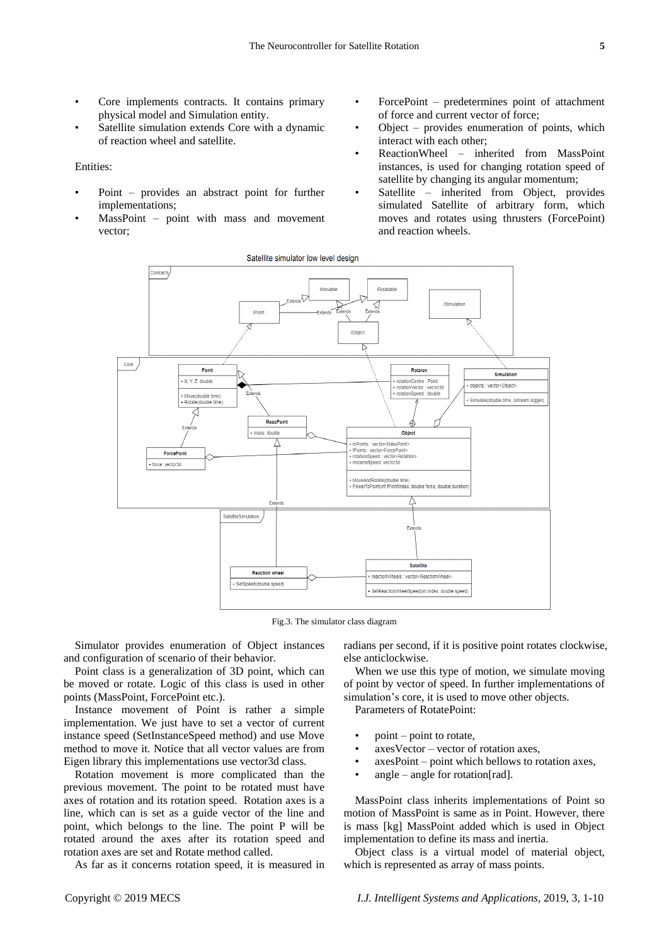- Core implements contracts. It contains primary physical model and Simulation entity.
- Satellite simulation extends Core with a dynamic of reaction wheel and satellite.

#### Entities:

- Point provides an abstract point for further implementations;
- MassPoint point with mass and movement vector;
- ForcePoint predetermines point of attachment of force and current vector of force;
- Object provides enumeration of points, which interact with each other;
- ReactionWheel inherited from MassPoint instances, is used for changing rotation speed of satellite by changing its angular momentum;
- Satellite inherited from Object, provides simulated Satellite of arbitrary form, which moves and rotates using thrusters (ForcePoint) and reaction wheels.



Fig.3. The simulator class diagram

Simulator provides enumeration of Object instances and configuration of scenario of their behavior.

Point class is a generalization of 3D point, which can be moved or rotate. Logic of this class is used in other points (MassPoint, ForcePoint etc.).

Instance movement of Point is rather a simple implementation. We just have to set a vector of current instance speed (SetInstanceSpeed method) and use Move method to move it. Notice that all vector values are from Eigen library this implementations use vector3d class.

Rotation movement is more complicated than the previous movement. The point to be rotated must have axes of rotation and its rotation speed. Rotation axes is a line, which can is set as a guide vector of the line and point, which belongs to the line. The point P will be rotated around the axes after its rotation speed and rotation axes are set and Rotate method called.

As far as it concerns rotation speed, it is measured in

radians per second, if it is positive point rotates clockwise, else anticlockwise.

When we use this type of motion, we simulate moving of point by vector of speed. In further implementations of simulation's core, it is used to move other objects.

Parameters of RotatePoint:

- point point to rotate,
- axesVector vector of rotation axes,
- axesPoint point which bellows to rotation axes,
- angle angle for rotation  $[rad]$ .

MassPoint class inherits implementations of Point so motion of MassPoint is same as in Point. However, there is mass [kg] MassPoint added which is used in Object implementation to define its mass and inertia.

Object class is a virtual model of material object, which is represented as array of mass points.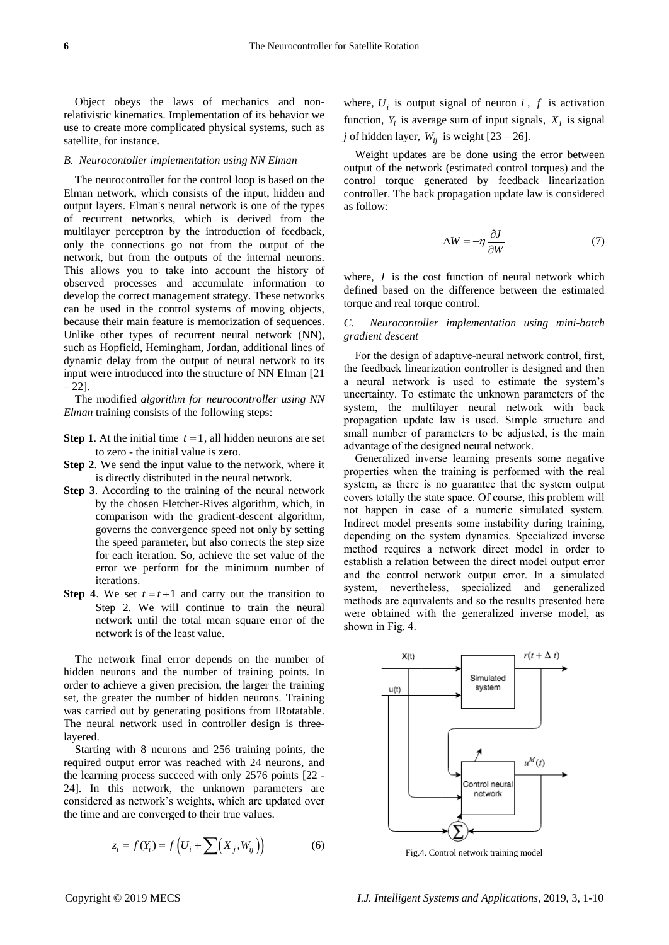Object obeys the laws of mechanics and nonrelativistic kinematics. Implementation of its behavior we use to create more complicated physical systems, such as satellite, for instance.

#### *B. Neurocontoller implementation using NN Elman*

The neurocontroller for the control loop is based on the Elman network, which consists of the input, hidden and output layers. Elman's neural network is one of the types of recurrent networks, which is derived from the multilayer perceptron by the introduction of feedback, only the connections go not from the output of the network, but from the outputs of the internal neurons. This allows you to take into account the history of observed processes and accumulate information to develop the correct management strategy. These networks can be used in the control systems of moving objects, because their main feature is memorization of sequences. Unlike other types of recurrent neural network (NN), such as Hopfield, Hemingham, Jordan, additional lines of dynamic delay from the output of neural network to its input were introduced into the structure of NN Elman [21  $-22$ ].

The modified *algorithm for neurocontroller using NN Elman* training consists of the following steps:

- **Step 1.** At the initial time  $t = 1$ , all hidden neurons are set to zero - the initial value is zero.
- **Step 2**. We send the input value to the network, where it is directly distributed in the neural network.
- **Step 3**. According to the training of the neural network by the chosen Fletcher-Rives algorithm, which, in comparison with the gradient-descent algorithm, governs the convergence speed not only by setting the speed parameter, but also corrects the step size for each iteration. So, achieve the set value of the error we perform for the minimum number of iterations.
- **Step 4.** We set  $t = t + 1$  and carry out the transition to Step 2. We will continue to train the neural network until the total mean square error of the network is of the least value.

The network final error depends on the number of hidden neurons and the number of training points. In order to achieve a given precision, the larger the training set, the greater the number of hidden neurons. Training was carried out by generating positions from IRotatable. The neural network used in controller design is threelayered.

Starting with 8 neurons and 256 training points, the required output error was reached with 24 neurons, and the learning process succeed with only 2576 points [22 - 24]. In this network, the unknown parameters are considered as network's weights, which are updated over the time and are converged to their true values.

$$
z_i = f(Y_i) = f\left(U_i + \sum (X_j, W_{ij})\right) \tag{6}
$$

where,  $U_i$  is output signal of neuron  $i$ ,  $f$  is activation function,  $Y_i$  is average sum of input signals,  $X_i$  is signal *j* of hidden layer,  $W_{ij}$  is weight  $[23 - 26]$ .

Weight updates are be done using the error between output of the network (estimated control torques) and the control torque generated by feedback linearization controller. The back propagation update law is considered as follow:

$$
\Delta W = -\eta \frac{\partial J}{\partial W} \tag{7}
$$

where,  $J$  is the cost function of neural network which defined based on the difference between the estimated torque and real torque control.

## *C. Neurocontoller implementation using mini-batch gradient descent*

For the design of adaptive-neural network control, first, the feedback linearization controller is designed and then a neural network is used to estimate the system's uncertainty. To estimate the unknown parameters of the system, the multilayer neural network with back propagation update law is used. Simple structure and small number of parameters to be adjusted, is the main advantage of the designed neural network.

Generalized inverse learning presents some negative properties when the training is performed with the real system, as there is no guarantee that the system output covers totally the state space. Of course, this problem will not happen in case of a numeric simulated system. Indirect model presents some instability during training, depending on the system dynamics. Specialized inverse method requires a network direct model in order to establish a relation between the direct model output error and the control network output error. In a simulated system, nevertheless, specialized and generalized methods are equivalents and so the results presented here were obtained with the generalized inverse model, as shown in Fig. 4.



Fig.4. Control network training model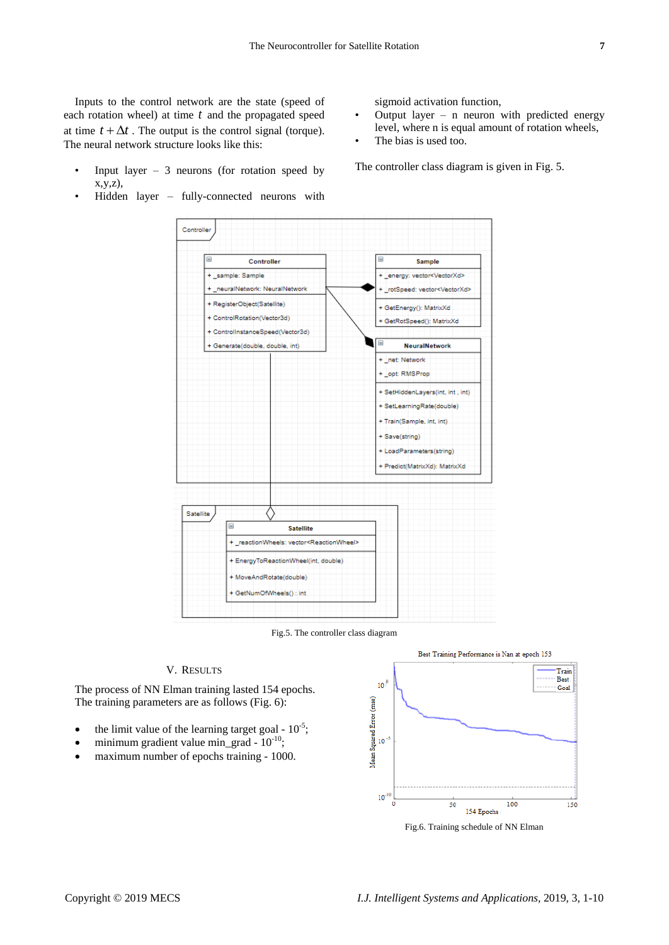Inputs to the control network are the state (speed of each rotation wheel) at time *t* and the propagated speed at time  $t + \Delta t$ . The output is the control signal (torque). The neural network structure looks like this:

- Input layer  $-3$  neurons (for rotation speed by x,y,z),
- Hidden layer fully-connected neurons with

sigmoid activation function,

- Output layer  $-$  n neuron with predicted energy level, where n is equal amount of rotation wheels,
- The bias is used too.

The controller class diagram is given in Fig. 5.



Fig.5. The controller class diagram

## V. RESULTS

The process of NN Elman training lasted 154 epochs. The training parameters are as follows (Fig. 6):

- the limit value of the learning target goal  $10^{-5}$ ;
- minimum gradient value min\_grad  $10^{-10}$ ;
- maximum number of epochs training 1000.



Fig.6. Training schedule of NN Elman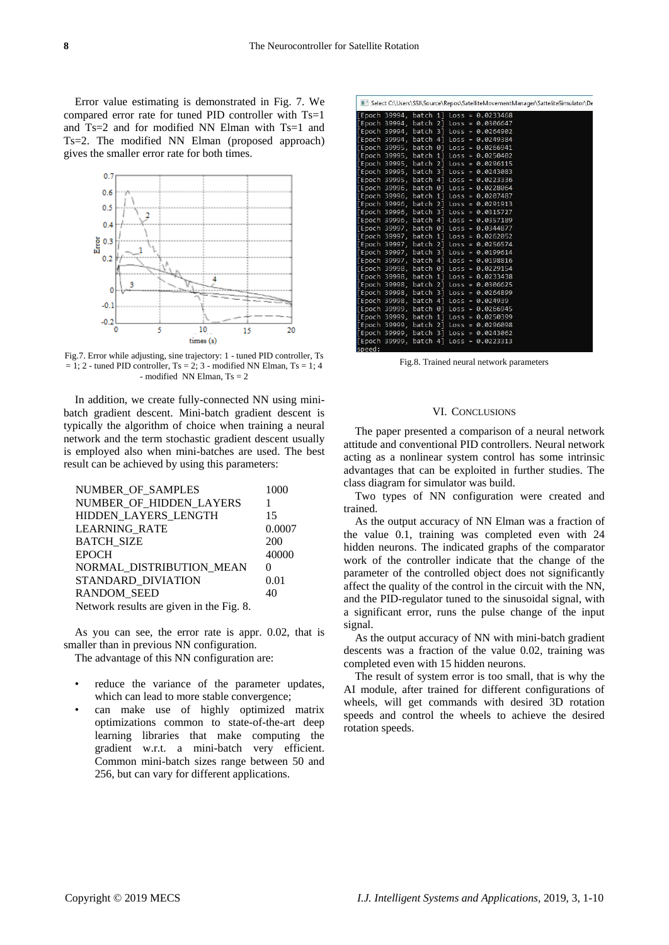Error value estimating is demonstrated in Fig. 7. We compared error rate for tuned PID controller with Ts=1 and Ts=2 and for modified NN Elman with Ts=1 and Ts=2. The modified NN Elman (proposed approach) gives the smaller error rate for both times.



Fig.7. Error while adjusting, sine trajectory: 1 - tuned PID controller, Ts  $= 1$ : 2 - tuned PID controller, Ts = 2; 3 - modified NN Elman, Ts = 1; 4 - modified NN Elman,  $Ts = 2$ 

In addition, we create fully-connected NN using minibatch gradient descent. Mini-batch gradient descent is typically the algorithm of choice when training a neural network and the term stochastic gradient descent usually is employed also when mini-batches are used. The best result can be achieved by using this parameters:

| NUMBER OF SAMPLES                        | 1000   |
|------------------------------------------|--------|
| NUMBER OF HIDDEN LAYERS                  |        |
| HIDDEN_LAYERS_LENGTH                     | 15     |
| <b>LEARNING RATE</b>                     | 0.0007 |
| <b>BATCH SIZE</b>                        | 200    |
| <b>EPOCH</b>                             | 40000  |
| NORMAL DISTRIBUTION MEAN                 | 0      |
| STANDARD DIVIATION                       | 0.01   |
| <b>RANDOM SEED</b>                       | 40     |
| Network results are given in the Fig. 8. |        |

As you can see, the error rate is appr. 0.02, that is smaller than in previous NN configuration.

The advantage of this NN configuration are:

- reduce the variance of the parameter updates, which can lead to more stable convergence;
- can make use of highly optimized matrix optimizations common to state-of-the-art deep learning libraries that make computing the gradient w.r.t. a mini-batch very efficient. Common mini-batch sizes range between 50 and 256, but can vary for different applications.

| [Epoch 39994, batch 2] Loss = 0.0306647<br>[Epoch 39994, batch 3] Loss = 0.0264902<br>[Epoch 39994, batch 4] Loss = 0.0249384<br>[Epoch 39995, batch 0] Loss = 0.0266941<br>[Epoch 39995, batch 1] Loss = 0.0250402<br>[Epoch 39995, batch 2] Loss = 0.0296115 |                                                                                                                                                                                                                                                                                                                                                                                                                                                                           |
|----------------------------------------------------------------------------------------------------------------------------------------------------------------------------------------------------------------------------------------------------------------|---------------------------------------------------------------------------------------------------------------------------------------------------------------------------------------------------------------------------------------------------------------------------------------------------------------------------------------------------------------------------------------------------------------------------------------------------------------------------|
|                                                                                                                                                                                                                                                                |                                                                                                                                                                                                                                                                                                                                                                                                                                                                           |
|                                                                                                                                                                                                                                                                |                                                                                                                                                                                                                                                                                                                                                                                                                                                                           |
|                                                                                                                                                                                                                                                                |                                                                                                                                                                                                                                                                                                                                                                                                                                                                           |
|                                                                                                                                                                                                                                                                |                                                                                                                                                                                                                                                                                                                                                                                                                                                                           |
|                                                                                                                                                                                                                                                                |                                                                                                                                                                                                                                                                                                                                                                                                                                                                           |
|                                                                                                                                                                                                                                                                |                                                                                                                                                                                                                                                                                                                                                                                                                                                                           |
| [Epoch 39995, batch 3] Loss = 0.0243083                                                                                                                                                                                                                        |                                                                                                                                                                                                                                                                                                                                                                                                                                                                           |
| [Epoch 39995, batch 4] Loss = 0.0223336                                                                                                                                                                                                                        |                                                                                                                                                                                                                                                                                                                                                                                                                                                                           |
| [Epoch 39996, batch 0] Loss = 0.0228064                                                                                                                                                                                                                        |                                                                                                                                                                                                                                                                                                                                                                                                                                                                           |
| [Epoch 39996, batch 1] Loss = 0.0207487                                                                                                                                                                                                                        |                                                                                                                                                                                                                                                                                                                                                                                                                                                                           |
| [Epoch 39996, batch 2] Loss = 0.0291913                                                                                                                                                                                                                        |                                                                                                                                                                                                                                                                                                                                                                                                                                                                           |
| [Epoch 39996, batch 3] Loss = 0.0315727                                                                                                                                                                                                                        |                                                                                                                                                                                                                                                                                                                                                                                                                                                                           |
| [Epoch 39996, batch 4] Loss = 0.0357189                                                                                                                                                                                                                        |                                                                                                                                                                                                                                                                                                                                                                                                                                                                           |
| [Epoch 39997, batch 0] Loss = 0.0344877                                                                                                                                                                                                                        |                                                                                                                                                                                                                                                                                                                                                                                                                                                                           |
| [Epoch 39997, batch 1] Loss = 0.0262052                                                                                                                                                                                                                        |                                                                                                                                                                                                                                                                                                                                                                                                                                                                           |
|                                                                                                                                                                                                                                                                |                                                                                                                                                                                                                                                                                                                                                                                                                                                                           |
|                                                                                                                                                                                                                                                                |                                                                                                                                                                                                                                                                                                                                                                                                                                                                           |
|                                                                                                                                                                                                                                                                |                                                                                                                                                                                                                                                                                                                                                                                                                                                                           |
|                                                                                                                                                                                                                                                                |                                                                                                                                                                                                                                                                                                                                                                                                                                                                           |
|                                                                                                                                                                                                                                                                |                                                                                                                                                                                                                                                                                                                                                                                                                                                                           |
|                                                                                                                                                                                                                                                                |                                                                                                                                                                                                                                                                                                                                                                                                                                                                           |
|                                                                                                                                                                                                                                                                |                                                                                                                                                                                                                                                                                                                                                                                                                                                                           |
|                                                                                                                                                                                                                                                                |                                                                                                                                                                                                                                                                                                                                                                                                                                                                           |
|                                                                                                                                                                                                                                                                |                                                                                                                                                                                                                                                                                                                                                                                                                                                                           |
|                                                                                                                                                                                                                                                                |                                                                                                                                                                                                                                                                                                                                                                                                                                                                           |
|                                                                                                                                                                                                                                                                |                                                                                                                                                                                                                                                                                                                                                                                                                                                                           |
| [Epoch 39999, batch 3] Loss = 0.0243062                                                                                                                                                                                                                        |                                                                                                                                                                                                                                                                                                                                                                                                                                                                           |
| [Epoch 39999, batch 4] Loss = 0.0223313                                                                                                                                                                                                                        |                                                                                                                                                                                                                                                                                                                                                                                                                                                                           |
|                                                                                                                                                                                                                                                                | [Epoch 39997, batch 2] Loss = 0.0256574<br>[Epoch 39997, batch 3] Loss = 0.0199614<br>[Epoch 39997, batch 4] Loss = 0.0198816<br>[Epoch 39998, batch 0] Loss = 0.0229154<br>[Epoch 39998, batch 1] Loss = 0.0233438<br>[Epoch 39998, batch 2] Loss = 0.0306625<br>[Epoch 39998, batch 3] Loss = 0.0264899<br>[Epoch 39998, batch 4] Loss = 0.024939<br>[Epoch 39999, batch 0] Loss = 0.0266945<br>[Epoch 39999, batch 1] Loss = 0.0250399<br>$batch 2$ ] Loss = 0.0296098 |

Fig.8. Trained neural network parameters

#### VI. CONCLUSIONS

The paper presented a comparison of a neural network attitude and conventional PID controllers. Neural network acting as a nonlinear system control has some intrinsic advantages that can be exploited in further studies. The class diagram for simulator was build.

Two types of NN configuration were created and trained.

As the output accuracy of NN Elman was a fraction of the value 0.1, training was completed even with 24 hidden neurons. The indicated graphs of the comparator work of the controller indicate that the change of the parameter of the controlled object does not significantly affect the quality of the control in the circuit with the NN, and the PID-regulator tuned to the sinusoidal signal, with a significant error, runs the pulse change of the input signal.

As the output accuracy of NN with mini-batch gradient descents was a fraction of the value 0.02, training was completed even with 15 hidden neurons.

The result of system error is too small, that is why the AI module, after trained for different configurations of wheels, will get commands with desired 3D rotation speeds and control the wheels to achieve the desired rotation speeds.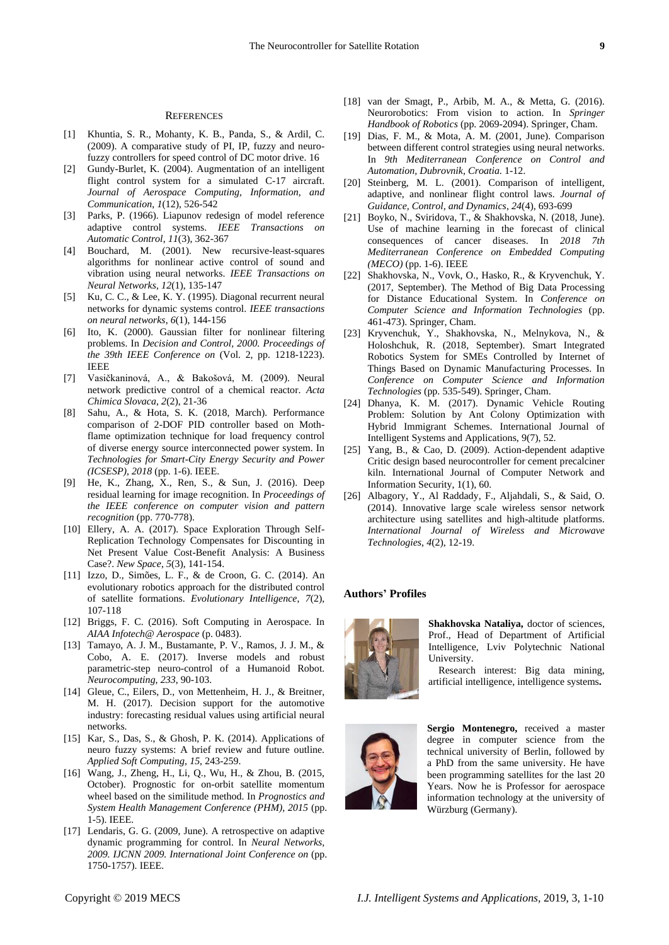#### **REFERENCES**

- [1] Khuntia, S. R., Mohanty, K. B., Panda, S., & Ardil, C. (2009). A comparative study of PI, IP, fuzzy and neurofuzzy controllers for speed control of DC motor drive. 16
- [2] Gundy-Burlet, K. (2004). Augmentation of an intelligent flight control system for a simulated C-17 aircraft. *Journal of Aerospace Computing, Information, and Communication*, *1*(12), 526-542
- [3] Parks, P. (1966). Liapunov redesign of model reference adaptive control systems. *IEEE Transactions on Automatic Control*, *11*(3), 362-367
- [4] Bouchard, M. (2001). New recursive-least-squares algorithms for nonlinear active control of sound and vibration using neural networks. *IEEE Transactions on Neural Networks*, *12*(1), 135-147
- [5] Ku, C. C., & Lee, K. Y. (1995). Diagonal recurrent neural networks for dynamic systems control. *IEEE transactions on neural networks*, *6*(1), 144-156
- [6] Ito, K. (2000). Gaussian filter for nonlinear filtering problems. In *Decision and Control, 2000. Proceedings of the 39th IEEE Conference on* (Vol. 2, pp. 1218-1223). IEEE
- [7] Vasičkaninová, A., & Bakošová, M. (2009). Neural network predictive control of a chemical reactor. *Acta Chimica Slovaca*, *2*(2), 21-36
- [8] Sahu, A., & Hota, S. K. (2018, March). Performance comparison of 2-DOF PID controller based on Mothflame optimization technique for load frequency control of diverse energy source interconnected power system. In *Technologies for Smart-City Energy Security and Power (ICSESP), 2018* (pp. 1-6). IEEE.
- [9] He, K., Zhang, X., Ren, S., & Sun, J. (2016). Deep residual learning for image recognition. In *Proceedings of the IEEE conference on computer vision and pattern recognition* (pp. 770-778).
- [10] Ellery, A. A. (2017). Space Exploration Through Self-Replication Technology Compensates for Discounting in Net Present Value Cost-Benefit Analysis: A Business Case?. *New Space*, *5*(3), 141-154.
- [11] Izzo, D., Simões, L. F., & de Croon, G. C. (2014). An evolutionary robotics approach for the distributed control of satellite formations. *Evolutionary Intelligence*, *7*(2), 107-118
- [12] Briggs, F. C. (2016). Soft Computing in Aerospace. In *AIAA Infotech@ Aerospace* (p. 0483).
- [13] Tamayo, A. J. M., Bustamante, P. V., Ramos, J. J. M., & Cobo, A. E. (2017). Inverse models and robust parametric-step neuro-control of a Humanoid Robot. *Neurocomputing*, *233*, 90-103.
- [14] Gleue, C., Eilers, D., von Mettenheim, H. J., & Breitner, M. H. (2017). Decision support for the automotive industry: forecasting residual values using artificial neural networks.
- [15] Kar, S., Das, S., & Ghosh, P. K. (2014). Applications of neuro fuzzy systems: A brief review and future outline. *Applied Soft Computing*, *15*, 243-259.
- [16] Wang, J., Zheng, H., Li, Q., Wu, H., & Zhou, B. (2015, October). Prognostic for on-orbit satellite momentum wheel based on the similitude method. In *Prognostics and System Health Management Conference (PHM), 2015* (pp. 1-5). IEEE.
- [17] Lendaris, G. G. (2009, June). A retrospective on adaptive dynamic programming for control. In *Neural Networks, 2009. IJCNN 2009. International Joint Conference on* (pp. 1750-1757). IEEE.
- [18] van der Smagt, P., Arbib, M. A., & Metta, G. (2016). Neurorobotics: From vision to action. In *Springer Handbook of Robotics* (pp. 2069-2094). Springer, Cham.
- [19] Dias, F. M., & Mota, A. M. (2001, June). Comparison between different control strategies using neural networks. In *9th Mediterranean Conference on Control and Automation, Dubrovnik, Croatia*. 1-12.
- [20] Steinberg, M. L. (2001). Comparison of intelligent, adaptive, and nonlinear flight control laws. *Journal of Guidance, Control, and Dynamics*, *24*(4), 693-699
- [21] Boyko, N., Sviridova, T., & Shakhovska, N. (2018, June). Use of machine learning in the forecast of clinical consequences of cancer diseases. In *2018 7th Mediterranean Conference on Embedded Computing (MECO)* (pp. 1-6). IEEE
- [22] Shakhovska, N., Vovk, O., Hasko, R., & Kryvenchuk, Y. (2017, September). The Method of Big Data Processing for Distance Educational System. In *Conference on Computer Science and Information Technologies* (pp. 461-473). Springer, Cham.
- [23] Kryvenchuk, Y., Shakhovska, N., Melnykova, N., & Holoshchuk, R. (2018, September). Smart Integrated Robotics System for SMEs Controlled by Internet of Things Based on Dynamic Manufacturing Processes. In *Conference on Computer Science and Information Technologies* (pp. 535-549). Springer, Cham.
- [24] Dhanya, K. M. (2017). Dynamic Vehicle Routing Problem: Solution by Ant Colony Optimization with Hybrid Immigrant Schemes. International Journal of Intelligent Systems and Applications, 9(7), 52.
- [25] Yang, B., & Cao, D. (2009). Action-dependent adaptive Critic design based neurocontroller for cement precalciner kiln. International Journal of Computer Network and Information Security, 1(1), 60.
- [26] Albagory, Y., Al Raddady, F., Aljahdali, S., & Said, O. (2014). Innovative large scale wireless sensor network architecture using satellites and high-altitude platforms. *International Journal of Wireless and Microwave Technologies*, *4*(2), 12-19.

#### **Authors' Profiles**



**Shakhovska Nataliya,** doctor of sciences, Prof., Head of Department of Artificial Intelligence, Lviv Polytechnic National University.

Research interest: Big data mining, artificial intelligence, intelligence systems**.**



**Sergio Montenegro,** received a master degree in computer science from the technical university of Berlin, followed by a PhD from the same university. He have been programming satellites for the last 20 Years. Now he is Professor for aerospace information technology at the university of Würzburg (Germany).